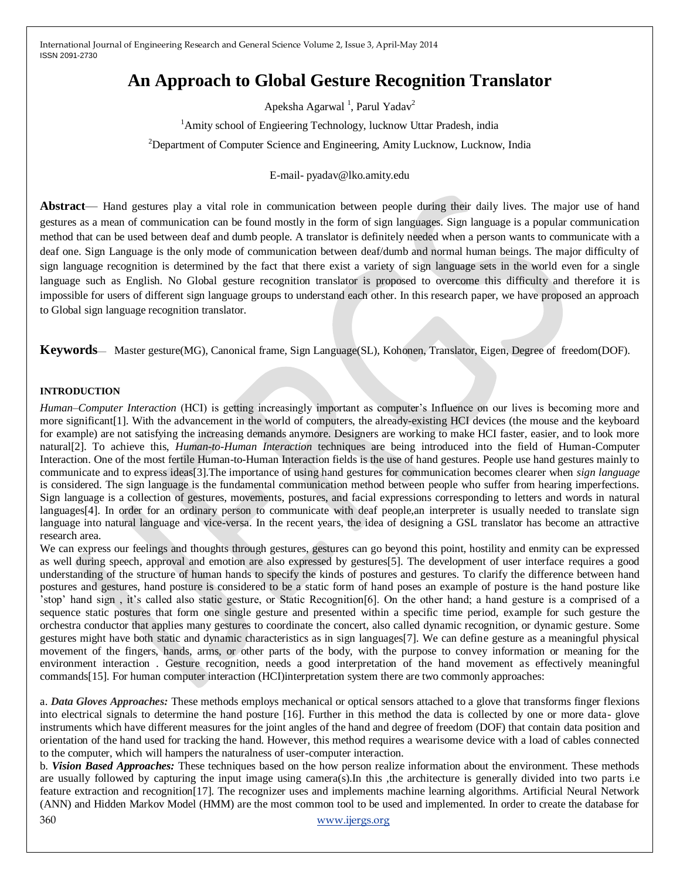# **An Approach to Global Gesture Recognition Translator**

Apeksha Agarwal<sup>1</sup>, Parul Yadav<sup>2</sup>

<sup>1</sup>Amity school of Engieering Technology, lucknow Uttar Pradesh, india

<sup>2</sup>Department of Computer Science and Engineering, Amity Lucknow, Lucknow, India

#### E-mail- pyadav@lko.amity.edu

**Abstract**— Hand gestures play a vital role in communication between people during their daily lives. The major use of hand gestures as a mean of communication can be found mostly in the form of sign languages. Sign language is a popular communication method that can be used between deaf and dumb people. A translator is definitely needed when a person wants to communicate with a deaf one. Sign Language is the only mode of communication between deaf/dumb and normal human beings. The major difficulty of sign language recognition is determined by the fact that there exist a variety of sign language sets in the world even for a single language such as English. No Global gesture recognition translator is proposed to overcome this difficulty and therefore it is impossible for users of different sign language groups to understand each other. In this research paper, we have proposed an approach to Global sign language recognition translator.

**Keywords**— Master gesture(MG), Canonical frame, Sign Language(SL), Kohonen, Translator, Eigen, Degree of freedom(DOF).

#### **INTRODUCTION**

*Human–Computer Interaction* (HCI) is getting increasingly important as computer's Influence on our lives is becoming more and more significant[1]. With the advancement in the world of computers, the already-existing HCI devices (the mouse and the keyboard for example) are not satisfying the increasing demands anymore. Designers are working to make HCI faster, easier, and to look more natural[2]. To achieve this, *Human-to-Human Interaction* techniques are being introduced into the field of Human-Computer Interaction. One of the most fertile Human-to-Human Interaction fields is the use of hand gestures. People use hand gestures mainly to communicate and to express ideas[3].The importance of using hand gestures for communication becomes clearer when *sign language*  is considered. The sign language is the fundamental communication method between people who suffer from hearing imperfections. Sign language is a collection of gestures, movements, postures, and facial expressions corresponding to letters and words in natural languages[4]. In order for an ordinary person to communicate with deaf people,an interpreter is usually needed to translate sign language into natural language and vice-versa. In the recent years, the idea of designing a GSL translator has become an attractive research area.

We can express our feelings and thoughts through gestures, gestures can go beyond this point, hostility and enmity can be expressed as well during speech, approval and emotion are also expressed by gestures[5]. The development of user interface requires a good understanding of the structure of human hands to specify the kinds of postures and gestures. To clarify the difference between hand postures and gestures, hand posture is considered to be a static form of hand poses an example of posture is the hand posture like 'stop' hand sign , it's called also static gesture, or Static Recognition[6]. On the other hand; a hand gesture is a comprised of a sequence static postures that form one single gesture and presented within a specific time period, example for such gesture the orchestra conductor that applies many gestures to coordinate the concert, also called dynamic recognition, or dynamic gesture. Some gestures might have both static and dynamic characteristics as in sign languages[7]. We can define gesture as a meaningful physical movement of the fingers, hands, arms, or other parts of the body, with the purpose to convey information or meaning for the environment interaction . Gesture recognition, needs a good interpretation of the hand movement as effectively meaningful commands[15]. For human computer interaction (HCI)interpretation system there are two commonly approaches:

a. *Data Gloves Approaches:* These methods employs mechanical or optical sensors attached to a glove that transforms finger flexions into electrical signals to determine the hand posture [16]. Further in this method the data is collected by one or more data- glove instruments which have different measures for the joint angles of the hand and degree of freedom (DOF) that contain data position and orientation of the hand used for tracking the hand. However, this method requires a wearisome device with a load of cables connected to the computer, which will hampers the naturalness of user-computer interaction.

360 [www.ijergs.org](http://www.ijergs.org/) b. *Vision Based Approaches:* These techniques based on the how person realize information about the environment. These methods are usually followed by capturing the input image using camera(s). In this , the architecture is generally divided into two parts i.e feature extraction and recognition[17]. The recognizer uses and implements machine learning algorithms. Artificial Neural Network (ANN) and Hidden Markov Model (HMM) are the most common tool to be used and implemented. In order to create the database for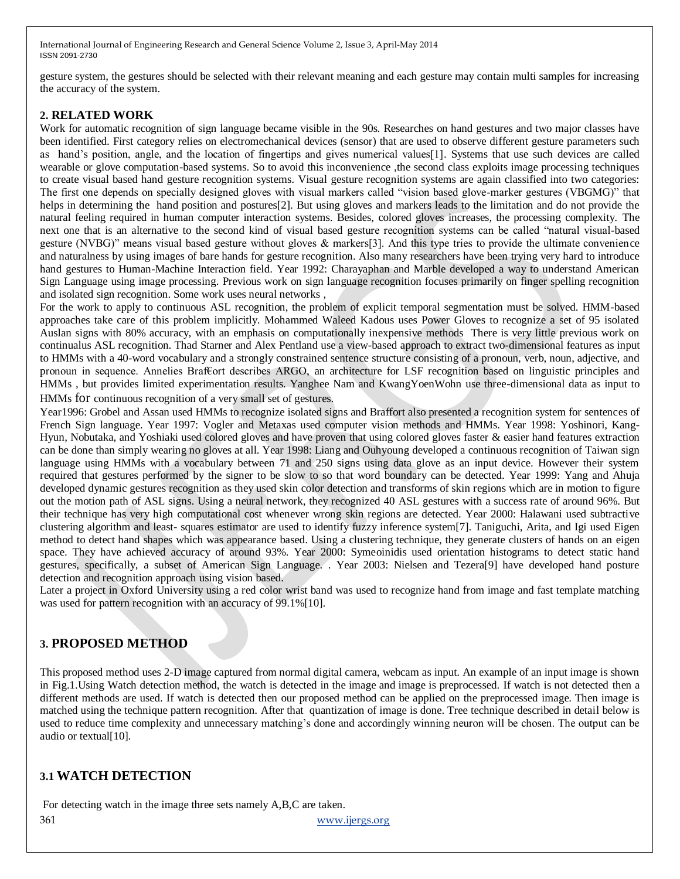gesture system, the gestures should be selected with their relevant meaning and each gesture may contain multi samples for increasing the accuracy of the system.

## **2. RELATED WORK**

Work for automatic recognition of sign language became visible in the 90s. Researches on hand gestures and two major classes have been identified. First category relies on electromechanical devices (sensor) that are used to observe different gesture parameters such as hand's position, angle, and the location of fingertips and gives numerical values[1]. Systems that use such devices are called wearable or glove computation-based systems. So to avoid this inconvenience ,the second class exploits image processing techniques to create visual based hand gesture recognition systems. Visual gesture recognition systems are again classified into two categories: The first one depends on specially designed gloves with visual markers called "vision based glove-marker gestures (VBGMG)" that helps in determining the hand position and postures[2]. But using gloves and markers leads to the limitation and do not provide the natural feeling required in human computer interaction systems. Besides, colored gloves increases, the processing complexity. The next one that is an alternative to the second kind of visual based gesture recognition systems can be called "natural visual-based gesture (NVBG)" means visual based gesture without gloves  $\&$  markers[3]. And this type tries to provide the ultimate convenience and naturalness by using images of bare hands for gesture recognition. Also many researchers have been trying very hard to introduce hand gestures to Human-Machine Interaction field. Year 1992: Charayaphan and Marble developed a way to understand American Sign Language using image processing. Previous work on sign language recognition focuses primarily on finger spelling recognition and isolated sign recognition. Some work uses neural networks ,

For the work to apply to continuous ASL recognition, the problem of explicit temporal segmentation must be solved. HMM-based approaches take care of this problem implicitly. Mohammed Waleed Kadous uses Power Gloves to recognize a set of 95 isolated Auslan signs with 80% accuracy, with an emphasis on computationally inexpensive methods There is very little previous work on continualus ASL recognition. Thad Starner and Alex Pentland use a view-based approach to extract two-dimensional features as input to HMMs with a 40-word vocabulary and a strongly constrained sentence structure consisting of a pronoun, verb, noun, adjective, and pronoun in sequence. Annelies Braf€ort describes ARGO, an architecture for LSF recognition based on linguistic principles and HMMs , but provides limited experimentation results. Yanghee Nam and KwangYoenWohn use three-dimensional data as input to HMMs for continuous recognition of a very small set of gestures.

Year1996: Grobel and Assan used HMMs to recognize isolated signs and Braffort also presented a recognition system for sentences of French Sign language. Year 1997: Vogler and Metaxas used computer vision methods and HMMs. Year 1998: Yoshinori, Kang-Hyun, Nobutaka, and Yoshiaki used colored gloves and have proven that using colored gloves faster & easier hand features extraction can be done than simply wearing no gloves at all. Year 1998: Liang and Ouhyoung developed a continuous recognition of Taiwan sign language using HMMs with a vocabulary between 71 and 250 signs using data glove as an input device. However their system required that gestures performed by the signer to be slow to so that word boundary can be detected. Year 1999: Yang and Ahuja developed dynamic gestures recognition as they used skin color detection and transforms of skin regions which are in motion to figure out the motion path of ASL signs. Using a neural network, they recognized 40 ASL gestures with a success rate of around 96%. But their technique has very high computational cost whenever wrong skin regions are detected. Year 2000: Halawani used subtractive clustering algorithm and least- squares estimator are used to identify fuzzy inference system[7]. Taniguchi, Arita, and Igi used Eigen method to detect hand shapes which was appearance based. Using a clustering technique, they generate clusters of hands on an eigen space. They have achieved accuracy of around 93%. Year 2000: Symeoinidis used orientation histograms to detect static hand gestures, specifically, a subset of American Sign Language. . Year 2003: Nielsen and Tezera[9] have developed hand posture detection and recognition approach using vision based.

Later a project in Oxford University using a red color wrist band was used to recognize hand from image and fast template matching was used for pattern recognition with an accuracy of 99.1%[10].

## **3. PROPOSED METHOD**

This proposed method uses 2-D image captured from normal digital camera, webcam as input. An example of an input image is shown in Fig.1.Using Watch detection method, the watch is detected in the image and image is preprocessed. If watch is not detected then a different methods are used. If watch is detected then our proposed method can be applied on the preprocessed image. Then image is matched using the technique pattern recognition. After that quantization of image is done. Tree technique described in detail below is used to reduce time complexity and unnecessary matching's done and accordingly winning neuron will be chosen. The output can be audio or textual[10].

## **3.1 WATCH DETECTION**

For detecting watch in the image three sets namely A,B,C are taken.

361 [www.ijergs.org](http://www.ijergs.org/)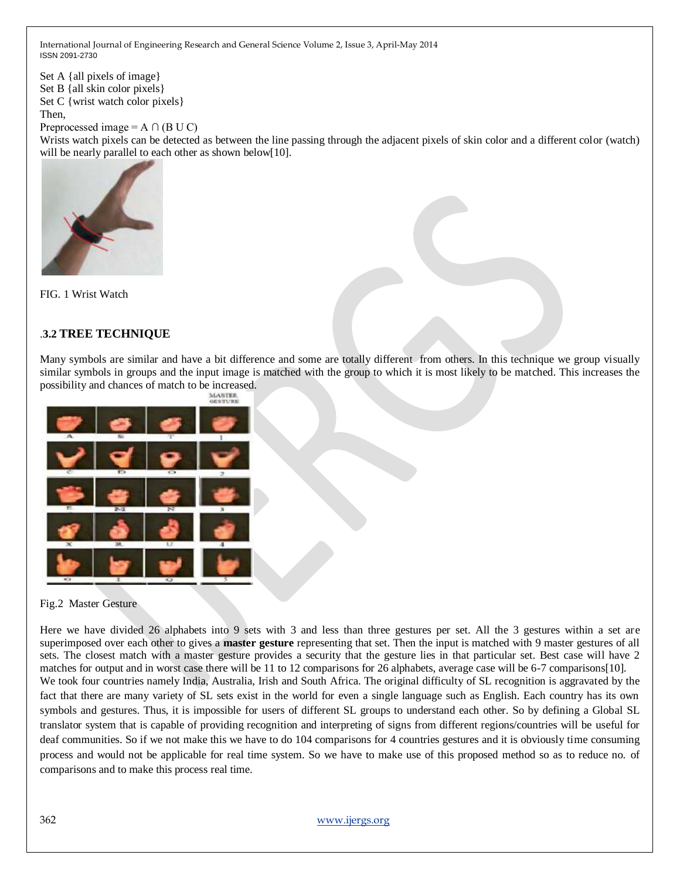Set A {all pixels of image} Set B {all skin color pixels} Set C { wrist watch color pixels } Then, Preprocessed image =  $A \cap (B \cup C)$ 

Wrists watch pixels can be detected as between the line passing through the adjacent pixels of skin color and a different color (watch) will be nearly parallel to each other as shown below[10].



FIG. 1 Wrist Watch

## .**3.2 TREE TECHNIQUE**

Many symbols are similar and have a bit difference and some are totally different from others. In this technique we group visually similar symbols in groups and the input image is matched with the group to which it is most likely to be matched. This increases the possibility and chances of match to be increased.



#### Fig.2 Master Gesture

Here we have divided 26 alphabets into 9 sets with 3 and less than three gestures per set. All the 3 gestures within a set are superimposed over each other to gives a **master gesture** representing that set. Then the input is matched with 9 master gestures of all sets. The closest match with a master gesture provides a security that the gesture lies in that particular set. Best case will have 2 matches for output and in worst case there will be 11 to 12 comparisons for 26 alphabets, average case will be 6-7 comparisons[10]. We took four countries namely India, Australia, Irish and South Africa. The original difficulty of SL recognition is aggravated by the fact that there are many variety of SL sets exist in the world for even a single language such as English. Each country has its own symbols and gestures. Thus, it is impossible for users of different SL groups to understand each other. So by defining a Global SL translator system that is capable of providing recognition and interpreting of signs from different regions/countries will be useful for deaf communities. So if we not make this we have to do 104 comparisons for 4 countries gestures and it is obviously time consuming process and would not be applicable for real time system. So we have to make use of this proposed method so as to reduce no. of comparisons and to make this process real time.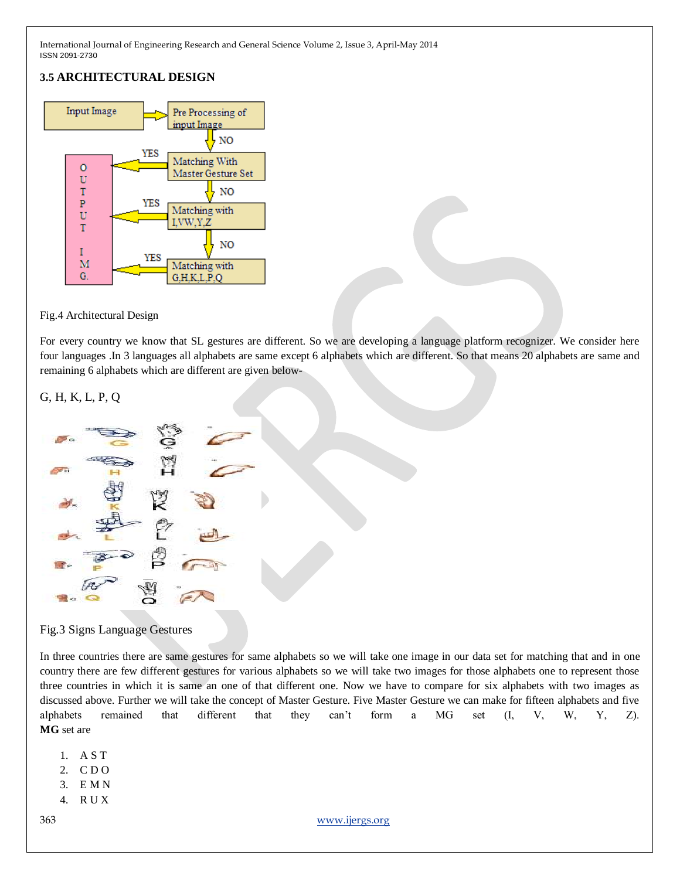## **3.5 ARCHITECTURAL DESIGN**



#### Fig.4 Architectural Design

For every country we know that SL gestures are different. So we are developing a language platform recognizer. We consider here four languages .In 3 languages all alphabets are same except 6 alphabets which are different. So that means 20 alphabets are same and remaining 6 alphabets which are different are given below-

#### G, H, K, L, P, Q



Fig.3 Signs Language Gestures

In three countries there are same gestures for same alphabets so we will take one image in our data set for matching that and in one country there are few different gestures for various alphabets so we will take two images for those alphabets one to represent those three countries in which it is same an one of that different one. Now we have to compare for six alphabets with two images as discussed above. Further we will take the concept of Master Gesture. Five Master Gesture we can make for fifteen alphabets and five alphabets remained that different that they can't form a MG set  $(I, V, W, Y, Z)$ . **MG** set are

- 1. A S T
- 2. C D O
- 3. E M N
- 4. R U X
- 

363 [www.ijergs.org](http://www.ijergs.org/)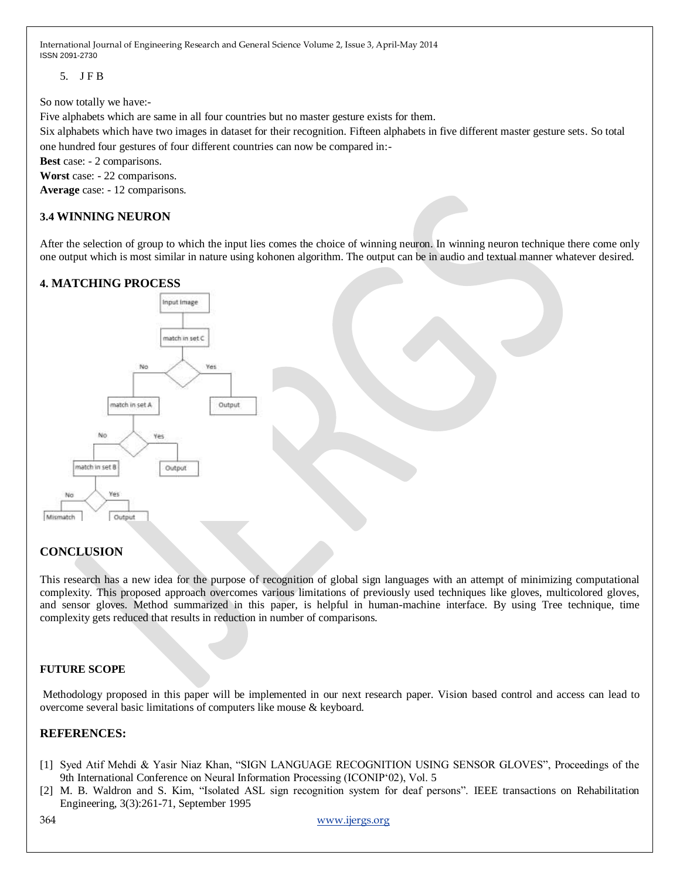5. J F B

So now totally we have:-

Five alphabets which are same in all four countries but no master gesture exists for them.

Six alphabets which have two images in dataset for their recognition. Fifteen alphabets in five different master gesture sets. So total one hundred four gestures of four different countries can now be compared in:-

**Best** case: - 2 comparisons.

**Worst** case: - 22 comparisons.

**Average** case: - 12 comparisons.

### **3.4 WINNING NEURON**

After the selection of group to which the input lies comes the choice of winning neuron. In winning neuron technique there come only one output which is most similar in nature using kohonen algorithm. The output can be in audio and textual manner whatever desired.

## **4. MATCHING PROCESS**



## **CONCLUSION**

This research has a new idea for the purpose of recognition of global sign languages with an attempt of minimizing computational complexity. This proposed approach overcomes various limitations of previously used techniques like gloves, multicolored gloves, and sensor gloves. Method summarized in this paper, is helpful in human-machine interface. By using Tree technique, time complexity gets reduced that results in reduction in number of comparisons.

#### **FUTURE SCOPE**

Methodology proposed in this paper will be implemented in our next research paper. Vision based control and access can lead to overcome several basic limitations of computers like mouse & keyboard.

#### **REFERENCES:**

- [1] Syed Atif Mehdi & Yasir Niaz Khan, "SIGN LANGUAGE RECOGNITION USING SENSOR GLOVES", Proceedings of the 9th International Conference on Neural Information Processing (ICONIP<sup>o</sup>02), Vol. 5
- [2] M. B. Waldron and S. Kim, "Isolated ASL sign recognition system for deaf persons". IEEE transactions on Rehabilitation Engineering, 3(3):261-71, September 1995

364 [www.ijergs.org](http://www.ijergs.org/)